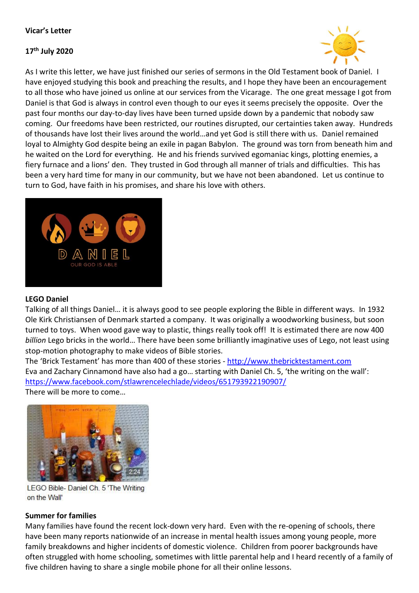#### **Vicar's Letter**

#### **17th July 2020**



As I write this letter, we have just finished our series of sermons in the Old Testament book of Daniel. I have enjoyed studying this book and preaching the results, and I hope they have been an encouragement to all those who have joined us online at our services from the Vicarage. The one great message I got from Daniel is that God is always in control even though to our eyes it seems precisely the opposite. Over the past four months our day-to-day lives have been turned upside down by a pandemic that nobody saw coming. Our freedoms have been restricted, our routines disrupted, our certainties taken away. Hundreds of thousands have lost their lives around the world…and yet God is still there with us. Daniel remained loyal to Almighty God despite being an exile in pagan Babylon. The ground was torn from beneath him and he waited on the Lord for everything. He and his friends survived egomaniac kings, plotting enemies, a fiery furnace and a lions' den. They trusted in God through all manner of trials and difficulties. This has been a very hard time for many in our community, but we have not been abandoned. Let us continue to turn to God, have faith in his promises, and share his love with others.



#### **LEGO Daniel**

Talking of all things Daniel… it is always good to see people exploring the Bible in different ways. In 1932 [Ole Kirk Christiansen](https://en.wikipedia.org/wiki/Ole_Kirk_Christiansen) of Denmark started a company. It was originally a woodworking business, but soon turned to toys. When wood gave way to plastic, things really took off! It is estimated there are now 400 *billion* Lego bricks in the world… There have been some brilliantly imaginative uses of Lego, not least using stop-motion photography to make videos of Bible stories.

The 'Brick Testament' has more than 400 of these stories - [http://www.thebricktestament.com](http://www.thebricktestament.com/) Eva and Zachary Cinnamond have also had a go… starting with Daniel Ch. 5, 'the writing on the wall': <https://www.facebook.com/stlawrencelechlade/videos/651793922190907/>

There will be more to come…



LEGO Bible- Daniel Ch. 5 'The Writing on the Wall'

#### **Summer for families**

Many families have found the recent lock-down very hard. Even with the re-opening of schools, there have been many reports nationwide of an increase in mental health issues among young people, more family breakdowns and higher incidents of domestic violence. Children from poorer backgrounds have often struggled with home schooling, sometimes with little parental help and I heard recently of a family of five children having to share a single mobile phone for all their online lessons.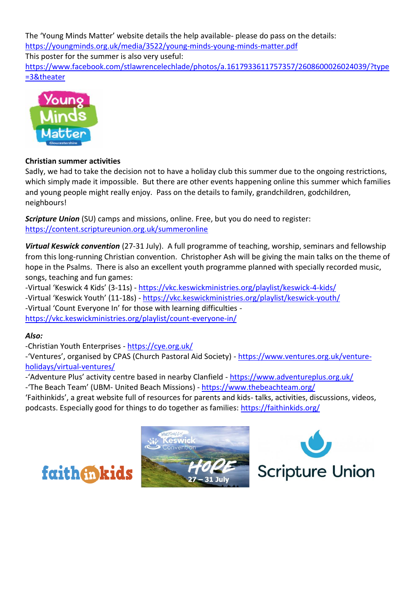The 'Young Minds Matter' website details the help available- please do pass on the details: <https://youngminds.org.uk/media/3522/young-minds-young-minds-matter.pdf> This poster for the summer is also very useful: [https://www.facebook.com/stlawrencelechlade/photos/a.1617933611757357/2608600026024039/?type](https://www.facebook.com/stlawrencelechlade/photos/a.1617933611757357/2608600026024039/?type=3&theater) [=3&theater](https://www.facebook.com/stlawrencelechlade/photos/a.1617933611757357/2608600026024039/?type=3&theater)



# **Christian summer activities**

Sadly, we had to take the decision not to have a holiday club this summer due to the ongoing restrictions, which simply made it impossible. But there are other events happening online this summer which families and young people might really enjoy. Pass on the details to family, grandchildren, godchildren, neighbours!

*Scripture Union* (SU) camps and missions, online. Free, but you do need to register: <https://content.scriptureunion.org.uk/summeronline>

*Virtual Keswick convention* (27-31 July). A full programme of teaching, worship, seminars and fellowship from this long-running Christian convention. Christopher Ash will be giving the main talks on the theme of hope in the Psalms. There is also an excellent youth programme planned with specially recorded music, songs, teaching and fun games:

-Virtual 'Keswick 4 Kids' (3-11s) - <https://vkc.keswickministries.org/playlist/keswick-4-kids/> -Virtual 'Keswick Youth' (11-18s) - <https://vkc.keswickministries.org/playlist/keswick-youth/> -Virtual 'Count Everyone In' for those with learning difficulties <https://vkc.keswickministries.org/playlist/count-everyone-in/>

# *Also:*

-Christian Youth Enterprises - <https://cye.org.uk/>

-'Ventures', organised by CPAS (Church Pastoral Aid Society) - [https://www.ventures.org.uk/venture](https://www.ventures.org.uk/venture-holidays/virtual-ventures/)[holidays/virtual-ventures/](https://www.ventures.org.uk/venture-holidays/virtual-ventures/)

-'Adventure Plus' activity centre based in nearby Clanfield - <https://www.adventureplus.org.uk/>

-'The Beach Team' (UBM- United Beach Missions) - <https://www.thebeachteam.org/>

'Faithinkids', a great website full of resources for parents and kids- talks, activities, discussions, videos, podcasts. Especially good for things to do together as families:<https://faithinkids.org/>